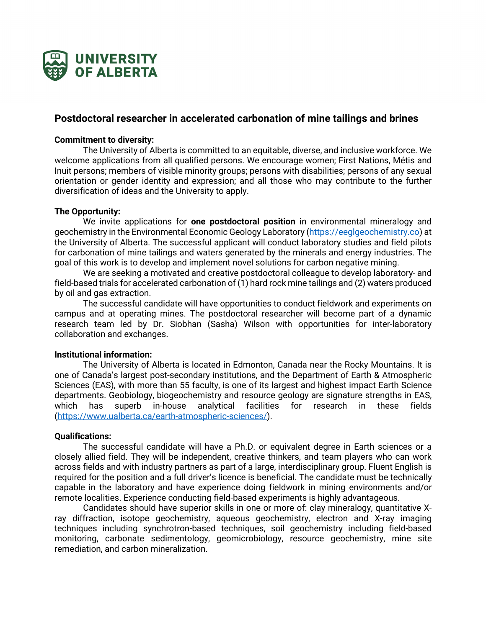

# **Postdoctoral researcher in accelerated carbonation of mine tailings and brines**

## **Commitment to diversity:**

The University of Alberta is committed to an equitable, diverse, and inclusive workforce. We welcome applications from all qualified persons. We encourage women; First Nations, Métis and Inuit persons; members of visible minority groups; persons with disabilities; persons of any sexual orientation or gender identity and expression; and all those who may contribute to the further diversification of ideas and the University to apply.

# **The Opportunity:**

We invite applications for **one postdoctoral position** in environmental mineralogy and geochemistry in the Environmental Economic Geology Laboratory (https://eeglgeochemistry.co) at the University of Alberta. The successful applicant will conduct laboratory studies and field pilots for carbonation of mine tailings and waters generated by the minerals and energy industries. The goal of this work is to develop and implement novel solutions for carbon negative mining.

We are seeking a motivated and creative postdoctoral colleague to develop laboratory- and field-based trials for accelerated carbonation of (1) hard rock mine tailings and (2) waters produced by oil and gas extraction.

The successful candidate will have opportunities to conduct fieldwork and experiments on campus and at operating mines. The postdoctoral researcher will become part of a dynamic research team led by Dr. Siobhan (Sasha) Wilson with opportunities for inter-laboratory collaboration and exchanges.

#### **Institutional information:**

The University of Alberta is located in Edmonton, Canada near the Rocky Mountains. It is one of Canada's largest post-secondary institutions, and the Department of Earth & Atmospheric Sciences (EAS), with more than 55 faculty, is one of its largest and highest impact Earth Science departments. Geobiology, biogeochemistry and resource geology are signature strengths in EAS, which has superb in-house analytical facilities for research in these fields (https://www.ualberta.ca/earth-atmospheric-sciences/).

# **Qualifications:**

The successful candidate will have a Ph.D. or equivalent degree in Earth sciences or a closely allied field. They will be independent, creative thinkers, and team players who can work across fields and with industry partners as part of a large, interdisciplinary group. Fluent English is required for the position and a full driver's licence is beneficial. The candidate must be technically capable in the laboratory and have experience doing fieldwork in mining environments and/or remote localities. Experience conducting field-based experiments is highly advantageous.

Candidates should have superior skills in one or more of: clay mineralogy, quantitative Xray diffraction, isotope geochemistry, aqueous geochemistry, electron and X-ray imaging techniques including synchrotron-based techniques, soil geochemistry including field-based monitoring, carbonate sedimentology, geomicrobiology, resource geochemistry, mine site remediation, and carbon mineralization.